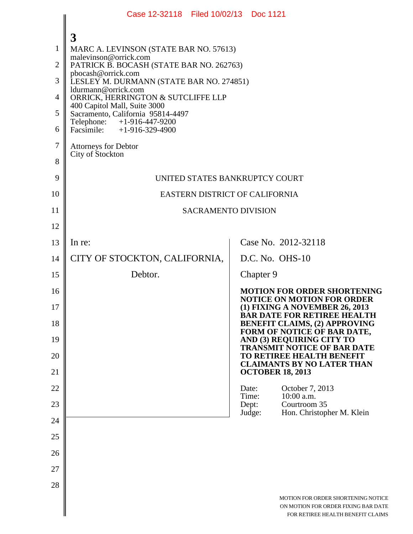|                | Case 12-32118 Filed 10/02/13 Doc 1121                             |                                                                                                                |  |  |  |
|----------------|-------------------------------------------------------------------|----------------------------------------------------------------------------------------------------------------|--|--|--|
|                | 3                                                                 |                                                                                                                |  |  |  |
| 1              | MARC A. LEVINSON (STATE BAR NO. 57613)                            |                                                                                                                |  |  |  |
| $\overline{2}$ | malevinson@orrick.com<br>PATRICK B. BOCASH (STATE BAR NO. 262763) |                                                                                                                |  |  |  |
| 3              | pbocash@orrick.com<br>LESLEY M. DURMANN (STATE BAR NO. 274851)    |                                                                                                                |  |  |  |
| $\overline{4}$ | ldurmann@orrick.com<br>ORRICK, HERRINGTON & SUTCLIFFE LLP         |                                                                                                                |  |  |  |
| 5              | 400 Capitol Mall, Suite 3000<br>Sacramento, California 95814-4497 |                                                                                                                |  |  |  |
| 6              | Telephone: +1-916-447-9200<br>Facsimile: $+1-916-329-4900$        |                                                                                                                |  |  |  |
| $\tau$         | <b>Attorneys for Debtor</b>                                       |                                                                                                                |  |  |  |
| 8              | City of Stockton                                                  |                                                                                                                |  |  |  |
| 9              | UNITED STATES BANKRUPTCY COURT                                    |                                                                                                                |  |  |  |
| 10             | EASTERN DISTRICT OF CALIFORNIA                                    |                                                                                                                |  |  |  |
| 11             | <b>SACRAMENTO DIVISION</b>                                        |                                                                                                                |  |  |  |
| 12             |                                                                   |                                                                                                                |  |  |  |
| 13             | In re:                                                            | Case No. 2012-32118                                                                                            |  |  |  |
| 14             | CITY OF STOCKTON, CALIFORNIA,                                     | D.C. No. OHS-10                                                                                                |  |  |  |
| 15             | Debtor.                                                           | Chapter 9                                                                                                      |  |  |  |
| 16             |                                                                   | <b>MOTION FOR ORDER SHORTENING</b><br><b>NOTICE ON MOTION FOR ORDER</b>                                        |  |  |  |
| 17             |                                                                   | (1) FIXING A NOVEMBER 26, 2013<br><b>BAR DATE FOR RETIREE HEALTH</b>                                           |  |  |  |
| 18             |                                                                   | <b>BENEFIT CLAIMS, (2) APPROVING</b><br>FORM OF NOTICE OF BAR DATE,                                            |  |  |  |
| 19             |                                                                   | AND (3) REQUIRING CITY TO<br>TRANSMIT NOTICE OF BAR DATE                                                       |  |  |  |
| 20             |                                                                   | TO RETIREE HEALTH BENEFIT<br><b>CLAIMANTS BY NO LATER THAN</b>                                                 |  |  |  |
| 21             |                                                                   | <b>OCTOBER 18, 2013</b>                                                                                        |  |  |  |
| 22             |                                                                   | October 7, 2013<br>Date:<br>Time:<br>10:00 a.m.                                                                |  |  |  |
| 23             |                                                                   | Dept:<br>Courtroom 35<br>Judge:<br>Hon. Christopher M. Klein                                                   |  |  |  |
| 24             |                                                                   |                                                                                                                |  |  |  |
| 25             |                                                                   |                                                                                                                |  |  |  |
| 26             |                                                                   |                                                                                                                |  |  |  |
| 27             |                                                                   |                                                                                                                |  |  |  |
| 28             |                                                                   |                                                                                                                |  |  |  |
|                |                                                                   | MOTION FOR ORDER SHORTENING NOTICE<br>ON MOTION FOR ORDER FIXING BAR DATE<br>FOR RETIREE HEALTH BENEFIT CLAIMS |  |  |  |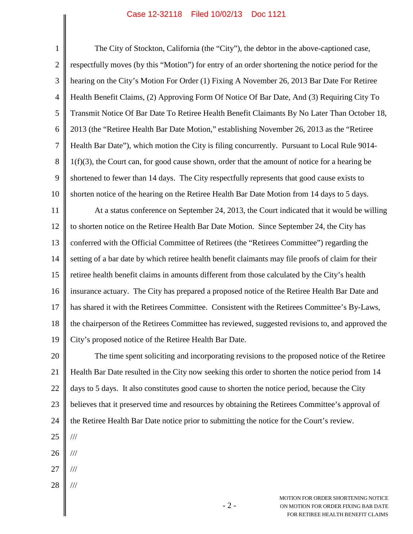## Case 12-32118 Filed 10/02/13 Doc 1121

1 2 3 4 5 6 7 8 9 10 11 12 13 14 15 16 17 18 19 20 21 22 23 24 25 26 The City of Stockton, California (the "City"), the debtor in the above-captioned case, respectfully moves (by this "Motion") for entry of an order shortening the notice period for the hearing on the City's Motion For Order (1) Fixing A November 26, 2013 Bar Date For Retiree Health Benefit Claims, (2) Approving Form Of Notice Of Bar Date, And (3) Requiring City To Transmit Notice Of Bar Date To Retiree Health Benefit Claimants By No Later Than October 18, 2013 (the "Retiree Health Bar Date Motion," establishing November 26, 2013 as the "Retiree Health Bar Date"), which motion the City is filing concurrently. Pursuant to Local Rule 9014- 1(f)(3), the Court can, for good cause shown, order that the amount of notice for a hearing be shortened to fewer than 14 days. The City respectfully represents that good cause exists to shorten notice of the hearing on the Retiree Health Bar Date Motion from 14 days to 5 days. At a status conference on September 24, 2013, the Court indicated that it would be willing to shorten notice on the Retiree Health Bar Date Motion. Since September 24, the City has conferred with the Official Committee of Retirees (the "Retirees Committee") regarding the setting of a bar date by which retiree health benefit claimants may file proofs of claim for their retiree health benefit claims in amounts different from those calculated by the City's health insurance actuary. The City has prepared a proposed notice of the Retiree Health Bar Date and has shared it with the Retirees Committee. Consistent with the Retirees Committee's By-Laws, the chairperson of the Retirees Committee has reviewed, suggested revisions to, and approved the City's proposed notice of the Retiree Health Bar Date. The time spent soliciting and incorporating revisions to the proposed notice of the Retiree Health Bar Date resulted in the City now seeking this order to shorten the notice period from 14 days to 5 days. It also constitutes good cause to shorten the notice period, because the City believes that it preserved time and resources by obtaining the Retirees Committee's approval of the Retiree Health Bar Date notice prior to submitting the notice for the Court's review. /// ///

- 27 ///
- 28 ///